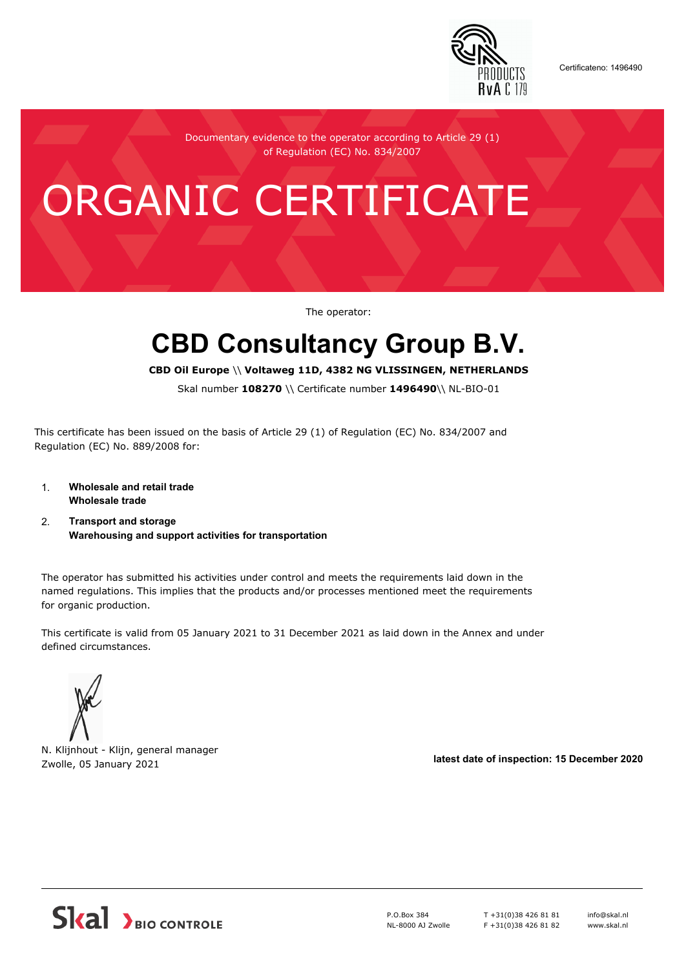

Certificateno: 1496490

Documentary evidence to the operator according to Article 29 (1) of Regulation (EC) No. 834/2007

## ORGANIC CERTIFICATE

The operator:

## **CBD Consultancy Group B.V.**

**CBD Oil Europe** \\ **Voltaweg 11D, 4382 NG VLISSINGEN, NETHERLANDS**

Skal number **108270** \\ Certificate number **1496490**\\ NL-BIO-01

This certificate has been issued on the basis of Article 29 (1) of Regulation (EC) No. 834/2007 and Regulation (EC) No. 889/2008 for:

- 1. **Wholesale and retail trade Wholesale trade**
- 2. **Transport and storage Warehousing and support activities for transportation**

The operator has submitted his activities under control and meets the requirements laid down in the named regulations. This implies that the products and/or processes mentioned meet the requirements for organic production.

This certificate is valid from 05 January 2021 to 31 December 2021 as laid down in the Annex and under defined circumstances.

N. Klijnhout - Klijn, general manager Zwolle, 05 January 2021 **latest date of inspection: 15 December 2020**



P.O.Box 384 NL-8000 AJ Zwolle